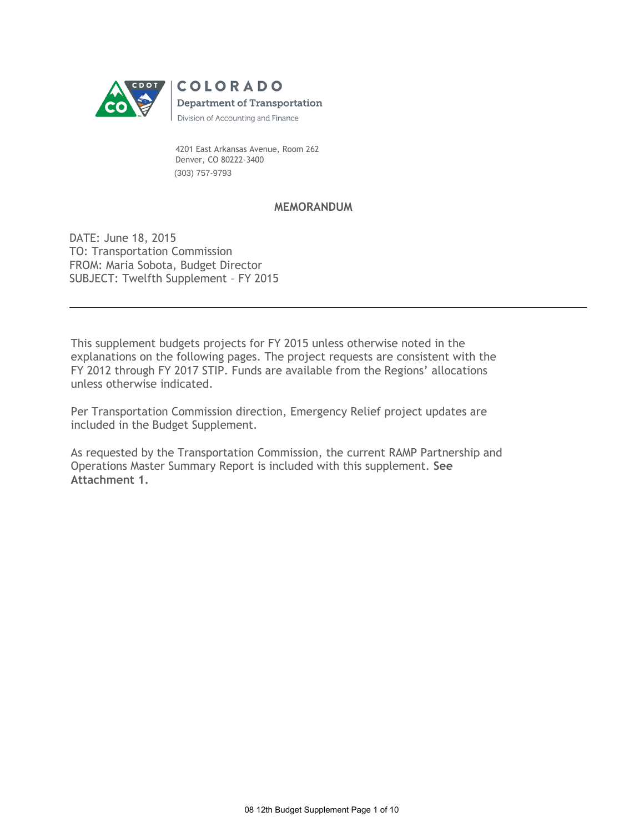

 4201 East Arkansas Avenue, Room 262 Denver, CO 80222-3400 (303) 757-9793

# **MEMORANDUM**

DATE: June 18, 2015 TO: Transportation Commission FROM: Maria Sobota, Budget Director SUBJECT: Twelfth Supplement – FY 2015

This supplement budgets projects for FY 2015 unless otherwise noted in the explanations on the following pages. The project requests are consistent with the FY 2012 through FY 2017 STIP. Funds are available from the Regions' allocations unless otherwise indicated.

Per Transportation Commission direction, Emergency Relief project updates are included in the Budget Supplement.

As requested by the Transportation Commission, the current RAMP Partnership and Operations Master Summary Report is included with this supplement. **See Attachment 1.**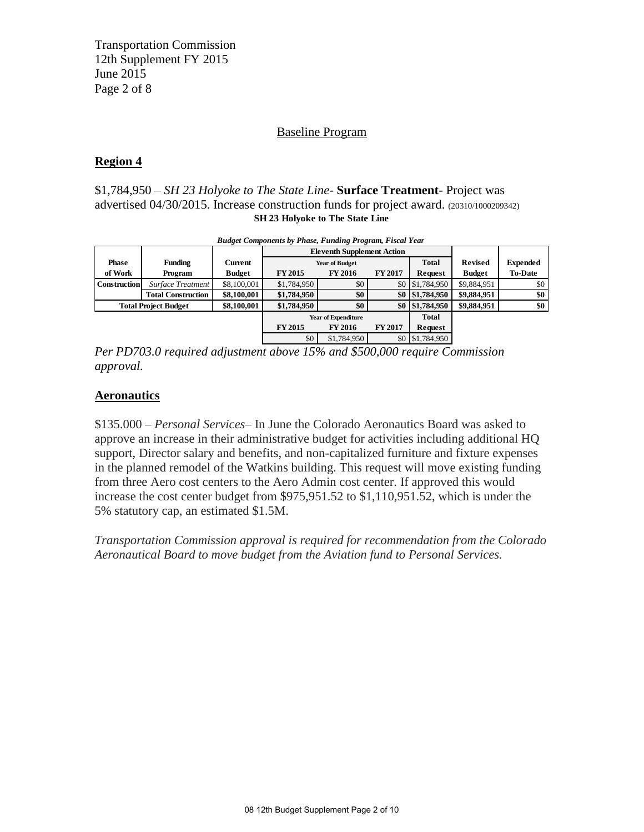Transportation Commission 12th Supplement FY 2015 June 2015 Page 2 of 8

# Baseline Program

# **Region 4**

# \$1,784,950 – *SH 23 Holyoke to The State Line-* **Surface Treatment**- Project was advertised 04/30/2015. Increase construction funds for project award. (20310/1000209342) **SH 23 Holyoke to The State Line**

| $\frac{1}{2}$ advertised 04/50/2015. Hicrease construction funds for project award. (20310/1000209342)<br><b>SH 23 Holyoke to The State Line</b> |                           |               |                                                                 |                                       |                |             |               |                 |
|--------------------------------------------------------------------------------------------------------------------------------------------------|---------------------------|---------------|-----------------------------------------------------------------|---------------------------------------|----------------|-------------|---------------|-----------------|
|                                                                                                                                                  |                           |               | <b>Budget Components by Phase, Funding Program, Fiscal Year</b> |                                       |                |             |               |                 |
|                                                                                                                                                  |                           |               |                                                                 | <b>Eleventh Supplement Action</b>     |                |             |               |                 |
| <b>Phase</b>                                                                                                                                     | <b>Funding</b>            | Current       |                                                                 | <b>Total</b><br><b>Year of Budget</b> |                |             |               | <b>Expended</b> |
| of Work                                                                                                                                          | Program                   | <b>Budget</b> | <b>FY 2015</b>                                                  | <b>FY 2016</b>                        | <b>FY 2017</b> | Request     | <b>Budget</b> | <b>To-Date</b>  |
| <b>Construction</b>                                                                                                                              | Surface Treatment         | \$8,100,001   | \$1,784,950                                                     | \$0                                   | \$0            | \$1,784,950 | \$9,884,951   | \$0             |
|                                                                                                                                                  | <b>Total Construction</b> | \$8,100,001   | \$1,784,950                                                     | \$0                                   | \$0            | \$1,784,950 | \$9,884,951   | \$0             |
| \$8,100,001<br><b>Total Project Budget</b>                                                                                                       |                           |               | \$1,784,950                                                     | \$0                                   | \$0            | \$1,784,950 | \$9,884,951   | \$0             |
|                                                                                                                                                  |                           |               | <b>Year of Expenditure</b>                                      |                                       | <b>Total</b>   |             |               |                 |
|                                                                                                                                                  |                           |               | <b>FY 2015</b>                                                  | <b>FY 2016</b>                        | <b>FY 2017</b> | Request     |               |                 |
|                                                                                                                                                  |                           |               | \$0                                                             | \$1,784,950                           | \$0            | \$1,784,950 |               |                 |

*Per PD703.0 required adjustment above 15% and \$500,000 require Commission approval.* 

# **Aeronautics**

\$135.000 – *Personal Services*– In June the Colorado Aeronautics Board was asked to approve an increase in their administrative budget for activities including additional HQ support, Director salary and benefits, and non-capitalized furniture and fixture expenses in the planned remodel of the Watkins building. This request will move existing funding from three Aero cost centers to the Aero Admin cost center. If approved this would increase the cost center budget from \$975,951.52 to \$1,110,951.52, which is under the 5% statutory cap, an estimated \$1.5M.

*Transportation Commission approval is required for recommendation from the Colorado Aeronautical Board to move budget from the Aviation fund to Personal Services.*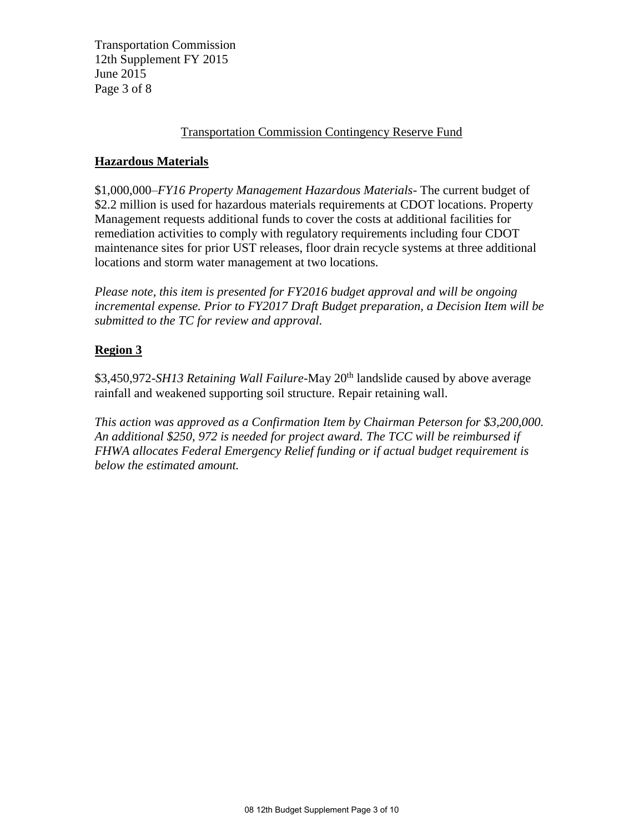Transportation Commission 12th Supplement FY 2015 June 2015 Page 3 of 8

# Transportation Commission Contingency Reserve Fund

# **Hazardous Materials**

\$1,000,000–*FY16 Property Management Hazardous Materials-* The current budget of \$2.2 million is used for hazardous materials requirements at CDOT locations. Property Management requests additional funds to cover the costs at additional facilities for remediation activities to comply with regulatory requirements including four CDOT maintenance sites for prior UST releases, floor drain recycle systems at three additional locations and storm water management at two locations.

*Please note, this item is presented for FY2016 budget approval and will be ongoing incremental expense. Prior to FY2017 Draft Budget preparation, a Decision Item will be submitted to the TC for review and approval.* 

# **Region 3**

\$3,450,972-*SH13 Retaining Wall Failure*-May 20th landslide caused by above average rainfall and weakened supporting soil structure. Repair retaining wall.

*This action was approved as a Confirmation Item by Chairman Peterson for \$3,200,000. An additional \$250, 972 is needed for project award. The TCC will be reimbursed if FHWA allocates Federal Emergency Relief funding or if actual budget requirement is below the estimated amount.*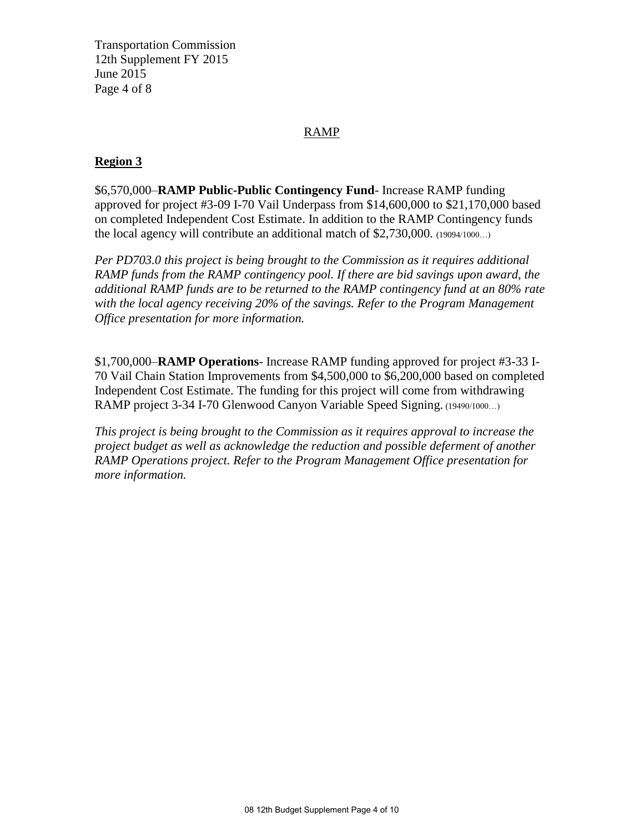Transportation Commission 12th Supplement FY 2015 June 2015 Page 4 of 8

# RAMP

# **Region 3**

\$6,570,000–**RAMP Public-Public Contingency Fund**- Increase RAMP funding approved for project #3-09 I-70 Vail Underpass from \$14,600,000 to \$21,170,000 based on completed Independent Cost Estimate. In addition to the RAMP Contingency funds the local agency will contribute an additional match of \$2,730,000. (19094/1000…)

*Per PD703.0 this project is being brought to the Commission as it requires additional RAMP funds from the RAMP contingency pool. If there are bid savings upon award, the additional RAMP funds are to be returned to the RAMP contingency fund at an 80% rate with the local agency receiving 20% of the savings. Refer to the Program Management Office presentation for more information.*

\$1,700,000–**RAMP Operations**- Increase RAMP funding approved for project #3-33 I-70 Vail Chain Station Improvements from \$4,500,000 to \$6,200,000 based on completed Independent Cost Estimate. The funding for this project will come from withdrawing RAMP project 3-34 I-70 Glenwood Canyon Variable Speed Signing. (19490/1000…)

*This project is being brought to the Commission as it requires approval to increase the project budget as well as acknowledge the reduction and possible deferment of another RAMP Operations project. Refer to the Program Management Office presentation for more information.*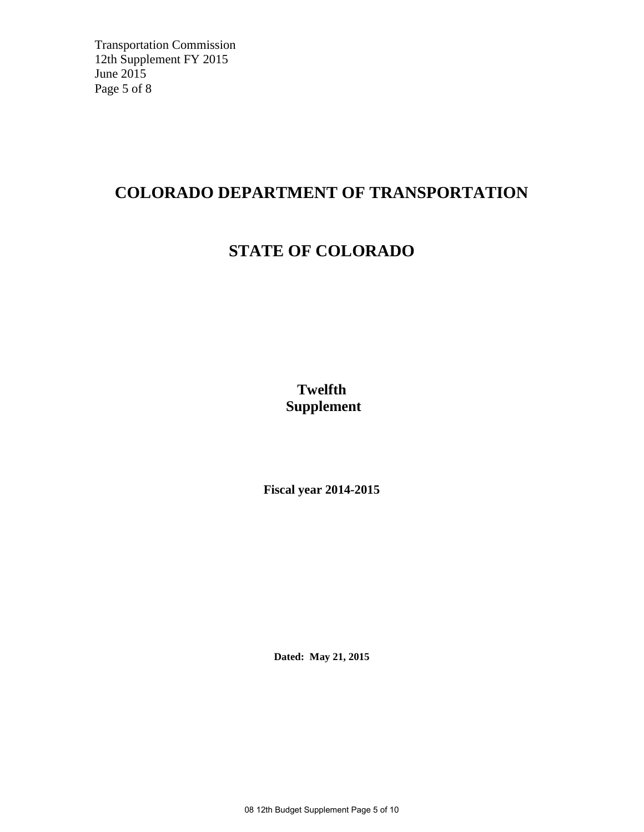Transportation Commission 12th Supplement FY 2015 June 2015 Page 5 of 8

# **COLORADO DEPARTMENT OF TRANSPORTATION**

# **STATE OF COLORADO**

**Twelfth Supplement** 

**Fiscal year 2014-2015**

**Dated: May 21, 2015** 

08 12th Budget Supplement Page 5 of 10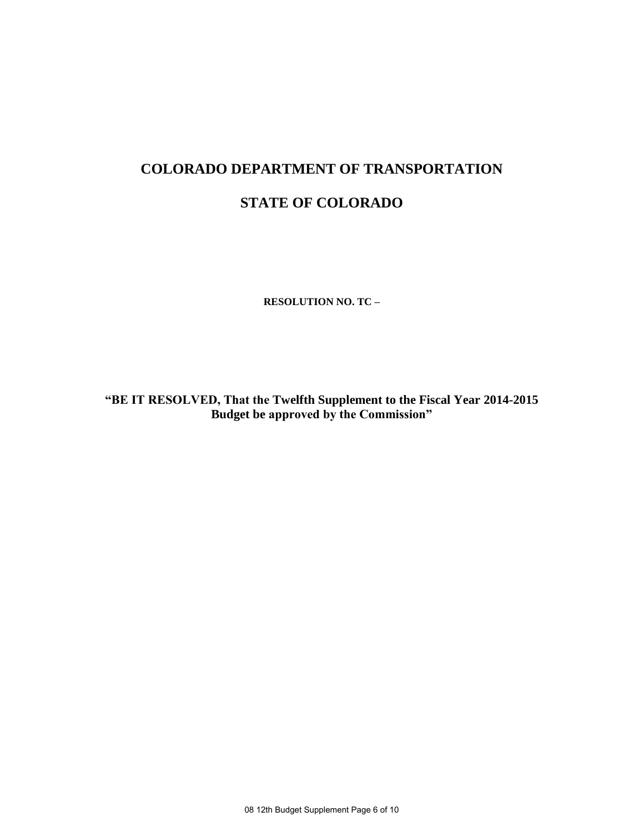# **COLORADO DEPARTMENT OF TRANSPORTATION**

# **STATE OF COLORADO**

**RESOLUTION NO. TC –**

**"BE IT RESOLVED, That the Twelfth Supplement to the Fiscal Year 2014-2015 Budget be approved by the Commission"**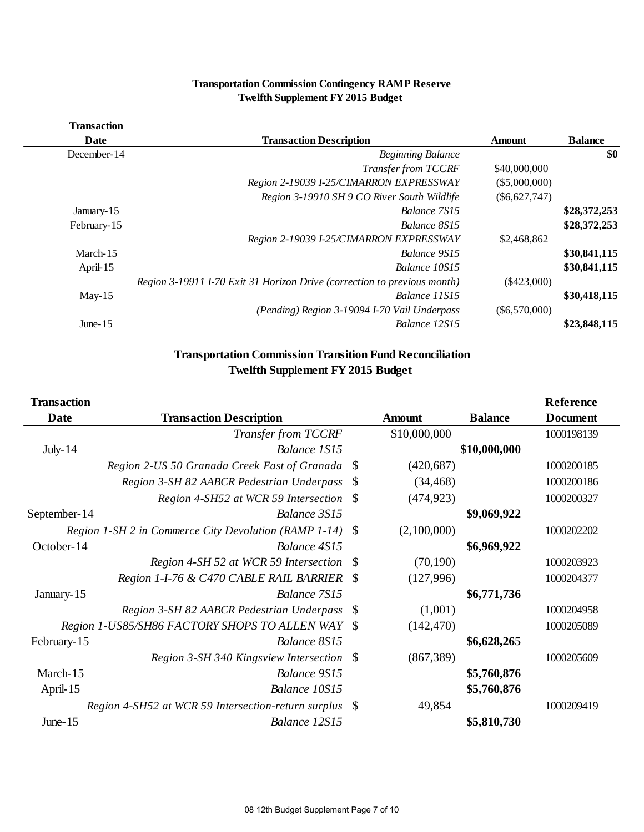|                    | <b>Transportation Commission Contingency RAMP Reserve</b><br><b>Twelfth Supplement FY 2015 Budget</b> |                 |                |
|--------------------|-------------------------------------------------------------------------------------------------------|-----------------|----------------|
| <b>Transaction</b> |                                                                                                       |                 |                |
| Date               | <b>Transaction Description</b>                                                                        | Amount          | <b>Balance</b> |
| December-14        | <b>Beginning Balance</b>                                                                              |                 | \$0            |
|                    | Transfer from TCCRF                                                                                   | \$40,000,000    |                |
|                    | Region 2-19039 I-25/CIMARRON EXPRESSWAY                                                               | $(\$5,000,000)$ |                |
|                    | Region 3-19910 SH 9 CO River South Wildlife                                                           | $(\$6,627,747)$ |                |
| January-15         | Balance 7S15                                                                                          |                 | \$28,372,253   |
| February-15        | Balance 8S15                                                                                          |                 | \$28,372,253   |
|                    | Region 2-19039 I-25/CIMARRON EXPRESSWAY                                                               | \$2,468,862     |                |
| March-15           | Balance 9S15                                                                                          |                 | \$30,841,115   |
| April-15           | Balance 10S15                                                                                         |                 | \$30,841,115   |
|                    | Region 3-19911 I-70 Exit 31 Horizon Drive (correction to previous month)                              | $(\$423,000)$   |                |
| May-15             | Balance 11S15                                                                                         |                 | \$30,418,115   |
|                    | (Pending) Region 3-19094 I-70 Vail Underpass                                                          | $(\$6,570,000)$ |                |
| June- $15$         | Balance 12S15                                                                                         |                 | \$23,848,115   |
|                    |                                                                                                       |                 |                |

# **Transportation Commission Contingency RAMP Reserve Twelfth Supplement FY 2015 Budget**

# **Transportation Commission Transition Fund Reconciliation Twelfth Supplement FY 2015 Budget**

| <b>Transportation Commission Transition Fund Reconciliation</b><br><b>Twelfth Supplement FY 2015 Budget</b> |                                                       |    |               |                |                 |  |
|-------------------------------------------------------------------------------------------------------------|-------------------------------------------------------|----|---------------|----------------|-----------------|--|
| <b>Transaction</b>                                                                                          |                                                       |    |               |                | Reference       |  |
| Date                                                                                                        | <b>Transaction Description</b>                        |    | <b>Amount</b> | <b>Balance</b> | <b>Document</b> |  |
|                                                                                                             | Transfer from TCCRF                                   |    | \$10,000,000  |                | 1000198139      |  |
| July- $14$                                                                                                  | Balance 1S15                                          |    |               | \$10,000,000   |                 |  |
|                                                                                                             | Region 2-US 50 Granada Creek East of Granada          | \$ | (420, 687)    |                | 1000200185      |  |
|                                                                                                             | Region 3-SH 82 AABCR Pedestrian Underpass             | S  | (34, 468)     |                | 1000200186      |  |
|                                                                                                             | Region 4-SH52 at WCR 59 Intersection \$               |    | (474, 923)    |                | 1000200327      |  |
| September-14                                                                                                | Balance 3S15                                          |    |               | \$9,069,922    |                 |  |
|                                                                                                             | Region 1-SH 2 in Commerce City Devolution (RAMP 1-14) | -S | (2,100,000)   |                | 1000202202      |  |
| October-14                                                                                                  | Balance 4S15                                          |    |               | \$6,969,922    |                 |  |
|                                                                                                             | Region 4-SH 52 at WCR 59 Intersection                 | -S | (70, 190)     |                | 1000203923      |  |
|                                                                                                             | Region 1-I-76 & C470 CABLE RAIL BARRIER               |    | (127,996)     |                | 1000204377      |  |
| January-15                                                                                                  | Balance 7S15                                          |    |               | \$6,771,736    |                 |  |
|                                                                                                             | Region 3-SH 82 AABCR Pedestrian Underpass             | \$ | (1,001)       |                | 1000204958      |  |
|                                                                                                             | Region 1-US85/SH86 FACTORY SHOPS TO ALLEN WAY         | -S | (142, 470)    |                | 1000205089      |  |
| February-15                                                                                                 | Balance 8S15                                          |    |               | \$6,628,265    |                 |  |
|                                                                                                             | Region 3-SH 340 Kingsview Intersection \$             |    | (867, 389)    |                | 1000205609      |  |
| March-15                                                                                                    | Balance 9S15                                          |    |               | \$5,760,876    |                 |  |
| April-15                                                                                                    | Balance 10S15                                         |    |               | \$5,760,876    |                 |  |
|                                                                                                             | Region 4-SH52 at WCR 59 Intersection-return surplus   | -S | 49,854        |                | 1000209419      |  |
| June- $15$                                                                                                  | Balance 12S15                                         |    |               | \$5,810,730    |                 |  |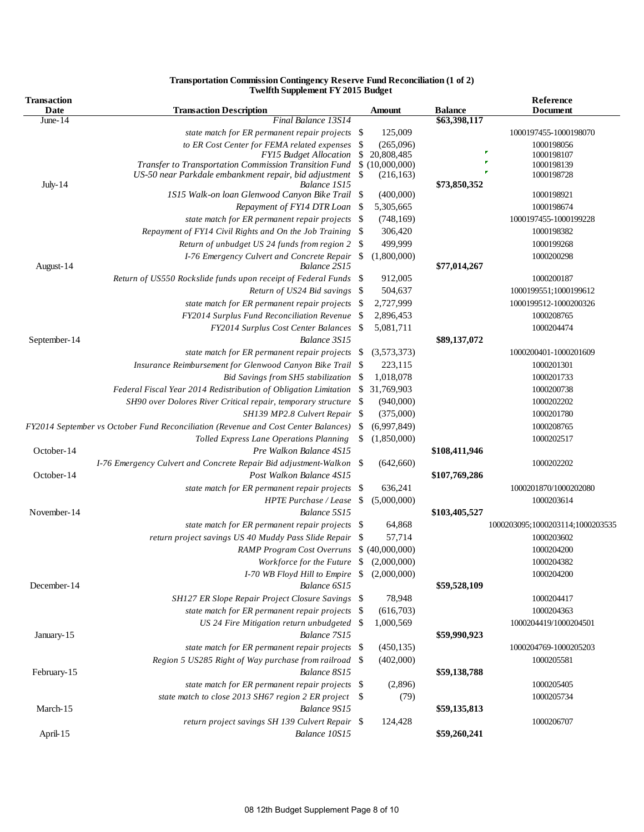| Final Balance 13S14<br>\$63,398,117<br>June- $14$<br>125,009<br>state match for ER permanent repair projects \$<br>1000197455-1000198070<br>to ER Cost Center for FEMA related expenses<br>-\$<br>(265,096)<br>1000198056<br>D<br>$\mathbb{S}$<br><b>FY15 Budget Allocation</b><br>20,808,485<br>1000198107<br>F<br>Transfer to Transportation Commission Transition Fund \$ (10,000,000)<br>1000198139<br>F<br>US-50 near Parkdale embankment repair, bid adjustment<br>(216, 163)<br>1000198728<br><b>July-14</b><br>Balance 1S15<br>\$73,850,352<br>1S15 Walk-on loan Glenwood Canyon Bike Trail \\$<br>(400,000)<br>1000198921<br>Repayment of FY14 DTR Loan \$<br>5,305,665<br>1000198674<br>state match for ER permanent repair projects<br>-\$<br>(748, 169)<br>1000197455-1000199228<br>Repayment of FY14 Civil Rights and On the Job Training<br>306,420<br>1000198382<br>-S<br>499,999<br>Return of unbudget US 24 funds from region 2<br>1000199268<br>-\$<br>I-76 Emergency Culvert and Concrete Repair<br>\$<br>(1,800,000)<br>1000200298<br>\$77,014,267<br>August-14<br>Balance 2S15<br>912,005<br>Return of US550 Rockslide funds upon receipt of Federal Funds \$<br>1000200187<br>Return of US24 Bid savings<br>-\$<br>504,637<br>1000199551;1000199612<br>state match for ER permanent repair projects \$<br>2,727,999<br>1000199512-1000200326<br>FY2014 Surplus Fund Reconciliation Revenue<br>- \$<br>2,896,453<br>1000208765<br>FY2014 Surplus Cost Center Balances \$<br>5,081,711<br>1000204474<br>September-14<br>Balance 3S15<br>\$89,137,072<br>state match for ER permanent repair projects \$<br>(3,573,373)<br>1000200401-1000201609<br>Insurance Reimbursement for Glenwood Canyon Bike Trail \$<br>223,115<br>1000201301<br>1,018,078<br>1000201733<br>Bid Savings from SH5 stabilization<br>- \$<br>Federal Fiscal Year 2014 Redistribution of Obligation Limitation<br>-\$<br>31,769,903<br>1000200738<br>SH90 over Dolores River Critical repair, temporary structure<br>(940,000)<br>1000202202<br>\$<br>(375,000)<br>SH139 MP2.8 Culvert Repair<br>1000201780<br>(6,997,849)<br>FY2014 September vs October Fund Reconciliation (Revenue and Cost Center Balances)<br>1000208765<br>-S<br>\$<br>(1,850,000)<br>1000202517<br>Tolled Express Lane Operations Planning<br>October-14<br>\$108,411,946<br>Pre Walkon Balance 4S15<br>I-76 Emergency Culvert and Concrete Repair Bid adjustment-Walkon \$<br>1000202202<br>(642,660)<br>October-14<br>Post Walkon Balance 4S15<br>\$107,769,286<br>636,241<br>1000201870/1000202080<br>state match for ER permanent repair projects<br>- \$<br>HPTE Purchase / Lease \$<br>(5,000,000)<br>1000203614<br>November-14<br>Balance 5S15<br>\$103,405,527<br>64,868<br>1000203095;1000203114;1000203535<br>state match for ER permanent repair projects \$<br>57,714<br>return project savings US 40 Muddy Pass Slide Repair<br>1000203602<br>-S<br>\$ (40,000,000)<br><b>RAMP Program Cost Overruns</b><br>1000204200<br>Workforce for the Future \$<br>1000204382<br>(2,000,000)<br>I-70 WB Floyd Hill to Empire $$ (2,000,000)$<br>1000204200<br>December-14<br>\$59,528,109<br>Balance 6S15<br>SH127 ER Slope Repair Project Closure Savings \$<br>78,948<br>1000204417<br>state match for ER permanent repair projects \$<br>(616,703)<br>1000204363<br>US 24 Fire Mitigation return unbudgeted \$<br>1,000,569<br>1000204419/1000204501<br>Balance 7S15<br>\$59,990,923<br>January-15<br>state match for ER permanent repair projects \$<br>(450, 135)<br>1000204769-1000205203<br>Region 5 US285 Right of Way purchase from railroad \$<br>(402,000)<br>1000205581<br>February-15<br>Balance 8S15<br>\$59,138,788<br>(2,896)<br>state match for ER permanent repair projects \$<br>1000205405<br>state match to close 2013 SH67 region 2 ER project \$<br>(79)<br>1000205734<br>\$59,135,813<br>March-15<br>Balance 9S15<br>return project savings SH 139 Culvert Repair \$<br>124,428<br>1000206707<br>Balance 10S15 | <b>Transaction</b><br>Date | <b>Transaction Description</b> | Amount | <b>Balance</b> | Reference<br>Document |
|-----------------------------------------------------------------------------------------------------------------------------------------------------------------------------------------------------------------------------------------------------------------------------------------------------------------------------------------------------------------------------------------------------------------------------------------------------------------------------------------------------------------------------------------------------------------------------------------------------------------------------------------------------------------------------------------------------------------------------------------------------------------------------------------------------------------------------------------------------------------------------------------------------------------------------------------------------------------------------------------------------------------------------------------------------------------------------------------------------------------------------------------------------------------------------------------------------------------------------------------------------------------------------------------------------------------------------------------------------------------------------------------------------------------------------------------------------------------------------------------------------------------------------------------------------------------------------------------------------------------------------------------------------------------------------------------------------------------------------------------------------------------------------------------------------------------------------------------------------------------------------------------------------------------------------------------------------------------------------------------------------------------------------------------------------------------------------------------------------------------------------------------------------------------------------------------------------------------------------------------------------------------------------------------------------------------------------------------------------------------------------------------------------------------------------------------------------------------------------------------------------------------------------------------------------------------------------------------------------------------------------------------------------------------------------------------------------------------------------------------------------------------------------------------------------------------------------------------------------------------------------------------------------------------------------------------------------------------------------------------------------------------------------------------------------------------------------------------------------------------------------------------------------------------------------------------------------------------------------------------------------------------------------------------------------------------------------------------------------------------------------------------------------------------------------------------------------------------------------------------------------------------------------------------------------------------------------------------------------------------------------------------------------------------------------------------------------------------------------------------------------------------------------------------------------------------------------------------------------------------------------------------------------------------------------------------------------------------------------------------------------------|----------------------------|--------------------------------|--------|----------------|-----------------------|
|                                                                                                                                                                                                                                                                                                                                                                                                                                                                                                                                                                                                                                                                                                                                                                                                                                                                                                                                                                                                                                                                                                                                                                                                                                                                                                                                                                                                                                                                                                                                                                                                                                                                                                                                                                                                                                                                                                                                                                                                                                                                                                                                                                                                                                                                                                                                                                                                                                                                                                                                                                                                                                                                                                                                                                                                                                                                                                                                                                                                                                                                                                                                                                                                                                                                                                                                                                                                                                                                                                                                                                                                                                                                                                                                                                                                                                                                                                                                                                                                           |                            |                                |        |                |                       |
|                                                                                                                                                                                                                                                                                                                                                                                                                                                                                                                                                                                                                                                                                                                                                                                                                                                                                                                                                                                                                                                                                                                                                                                                                                                                                                                                                                                                                                                                                                                                                                                                                                                                                                                                                                                                                                                                                                                                                                                                                                                                                                                                                                                                                                                                                                                                                                                                                                                                                                                                                                                                                                                                                                                                                                                                                                                                                                                                                                                                                                                                                                                                                                                                                                                                                                                                                                                                                                                                                                                                                                                                                                                                                                                                                                                                                                                                                                                                                                                                           |                            |                                |        |                |                       |
|                                                                                                                                                                                                                                                                                                                                                                                                                                                                                                                                                                                                                                                                                                                                                                                                                                                                                                                                                                                                                                                                                                                                                                                                                                                                                                                                                                                                                                                                                                                                                                                                                                                                                                                                                                                                                                                                                                                                                                                                                                                                                                                                                                                                                                                                                                                                                                                                                                                                                                                                                                                                                                                                                                                                                                                                                                                                                                                                                                                                                                                                                                                                                                                                                                                                                                                                                                                                                                                                                                                                                                                                                                                                                                                                                                                                                                                                                                                                                                                                           |                            |                                |        |                |                       |
|                                                                                                                                                                                                                                                                                                                                                                                                                                                                                                                                                                                                                                                                                                                                                                                                                                                                                                                                                                                                                                                                                                                                                                                                                                                                                                                                                                                                                                                                                                                                                                                                                                                                                                                                                                                                                                                                                                                                                                                                                                                                                                                                                                                                                                                                                                                                                                                                                                                                                                                                                                                                                                                                                                                                                                                                                                                                                                                                                                                                                                                                                                                                                                                                                                                                                                                                                                                                                                                                                                                                                                                                                                                                                                                                                                                                                                                                                                                                                                                                           |                            |                                |        |                |                       |
|                                                                                                                                                                                                                                                                                                                                                                                                                                                                                                                                                                                                                                                                                                                                                                                                                                                                                                                                                                                                                                                                                                                                                                                                                                                                                                                                                                                                                                                                                                                                                                                                                                                                                                                                                                                                                                                                                                                                                                                                                                                                                                                                                                                                                                                                                                                                                                                                                                                                                                                                                                                                                                                                                                                                                                                                                                                                                                                                                                                                                                                                                                                                                                                                                                                                                                                                                                                                                                                                                                                                                                                                                                                                                                                                                                                                                                                                                                                                                                                                           |                            |                                |        |                |                       |
|                                                                                                                                                                                                                                                                                                                                                                                                                                                                                                                                                                                                                                                                                                                                                                                                                                                                                                                                                                                                                                                                                                                                                                                                                                                                                                                                                                                                                                                                                                                                                                                                                                                                                                                                                                                                                                                                                                                                                                                                                                                                                                                                                                                                                                                                                                                                                                                                                                                                                                                                                                                                                                                                                                                                                                                                                                                                                                                                                                                                                                                                                                                                                                                                                                                                                                                                                                                                                                                                                                                                                                                                                                                                                                                                                                                                                                                                                                                                                                                                           |                            |                                |        |                |                       |
|                                                                                                                                                                                                                                                                                                                                                                                                                                                                                                                                                                                                                                                                                                                                                                                                                                                                                                                                                                                                                                                                                                                                                                                                                                                                                                                                                                                                                                                                                                                                                                                                                                                                                                                                                                                                                                                                                                                                                                                                                                                                                                                                                                                                                                                                                                                                                                                                                                                                                                                                                                                                                                                                                                                                                                                                                                                                                                                                                                                                                                                                                                                                                                                                                                                                                                                                                                                                                                                                                                                                                                                                                                                                                                                                                                                                                                                                                                                                                                                                           |                            |                                |        |                |                       |
|                                                                                                                                                                                                                                                                                                                                                                                                                                                                                                                                                                                                                                                                                                                                                                                                                                                                                                                                                                                                                                                                                                                                                                                                                                                                                                                                                                                                                                                                                                                                                                                                                                                                                                                                                                                                                                                                                                                                                                                                                                                                                                                                                                                                                                                                                                                                                                                                                                                                                                                                                                                                                                                                                                                                                                                                                                                                                                                                                                                                                                                                                                                                                                                                                                                                                                                                                                                                                                                                                                                                                                                                                                                                                                                                                                                                                                                                                                                                                                                                           |                            |                                |        |                |                       |
|                                                                                                                                                                                                                                                                                                                                                                                                                                                                                                                                                                                                                                                                                                                                                                                                                                                                                                                                                                                                                                                                                                                                                                                                                                                                                                                                                                                                                                                                                                                                                                                                                                                                                                                                                                                                                                                                                                                                                                                                                                                                                                                                                                                                                                                                                                                                                                                                                                                                                                                                                                                                                                                                                                                                                                                                                                                                                                                                                                                                                                                                                                                                                                                                                                                                                                                                                                                                                                                                                                                                                                                                                                                                                                                                                                                                                                                                                                                                                                                                           |                            |                                |        |                |                       |
|                                                                                                                                                                                                                                                                                                                                                                                                                                                                                                                                                                                                                                                                                                                                                                                                                                                                                                                                                                                                                                                                                                                                                                                                                                                                                                                                                                                                                                                                                                                                                                                                                                                                                                                                                                                                                                                                                                                                                                                                                                                                                                                                                                                                                                                                                                                                                                                                                                                                                                                                                                                                                                                                                                                                                                                                                                                                                                                                                                                                                                                                                                                                                                                                                                                                                                                                                                                                                                                                                                                                                                                                                                                                                                                                                                                                                                                                                                                                                                                                           |                            |                                |        |                |                       |
|                                                                                                                                                                                                                                                                                                                                                                                                                                                                                                                                                                                                                                                                                                                                                                                                                                                                                                                                                                                                                                                                                                                                                                                                                                                                                                                                                                                                                                                                                                                                                                                                                                                                                                                                                                                                                                                                                                                                                                                                                                                                                                                                                                                                                                                                                                                                                                                                                                                                                                                                                                                                                                                                                                                                                                                                                                                                                                                                                                                                                                                                                                                                                                                                                                                                                                                                                                                                                                                                                                                                                                                                                                                                                                                                                                                                                                                                                                                                                                                                           |                            |                                |        |                |                       |
|                                                                                                                                                                                                                                                                                                                                                                                                                                                                                                                                                                                                                                                                                                                                                                                                                                                                                                                                                                                                                                                                                                                                                                                                                                                                                                                                                                                                                                                                                                                                                                                                                                                                                                                                                                                                                                                                                                                                                                                                                                                                                                                                                                                                                                                                                                                                                                                                                                                                                                                                                                                                                                                                                                                                                                                                                                                                                                                                                                                                                                                                                                                                                                                                                                                                                                                                                                                                                                                                                                                                                                                                                                                                                                                                                                                                                                                                                                                                                                                                           |                            |                                |        |                |                       |
|                                                                                                                                                                                                                                                                                                                                                                                                                                                                                                                                                                                                                                                                                                                                                                                                                                                                                                                                                                                                                                                                                                                                                                                                                                                                                                                                                                                                                                                                                                                                                                                                                                                                                                                                                                                                                                                                                                                                                                                                                                                                                                                                                                                                                                                                                                                                                                                                                                                                                                                                                                                                                                                                                                                                                                                                                                                                                                                                                                                                                                                                                                                                                                                                                                                                                                                                                                                                                                                                                                                                                                                                                                                                                                                                                                                                                                                                                                                                                                                                           |                            |                                |        |                |                       |
|                                                                                                                                                                                                                                                                                                                                                                                                                                                                                                                                                                                                                                                                                                                                                                                                                                                                                                                                                                                                                                                                                                                                                                                                                                                                                                                                                                                                                                                                                                                                                                                                                                                                                                                                                                                                                                                                                                                                                                                                                                                                                                                                                                                                                                                                                                                                                                                                                                                                                                                                                                                                                                                                                                                                                                                                                                                                                                                                                                                                                                                                                                                                                                                                                                                                                                                                                                                                                                                                                                                                                                                                                                                                                                                                                                                                                                                                                                                                                                                                           |                            |                                |        |                |                       |
|                                                                                                                                                                                                                                                                                                                                                                                                                                                                                                                                                                                                                                                                                                                                                                                                                                                                                                                                                                                                                                                                                                                                                                                                                                                                                                                                                                                                                                                                                                                                                                                                                                                                                                                                                                                                                                                                                                                                                                                                                                                                                                                                                                                                                                                                                                                                                                                                                                                                                                                                                                                                                                                                                                                                                                                                                                                                                                                                                                                                                                                                                                                                                                                                                                                                                                                                                                                                                                                                                                                                                                                                                                                                                                                                                                                                                                                                                                                                                                                                           |                            |                                |        |                |                       |
|                                                                                                                                                                                                                                                                                                                                                                                                                                                                                                                                                                                                                                                                                                                                                                                                                                                                                                                                                                                                                                                                                                                                                                                                                                                                                                                                                                                                                                                                                                                                                                                                                                                                                                                                                                                                                                                                                                                                                                                                                                                                                                                                                                                                                                                                                                                                                                                                                                                                                                                                                                                                                                                                                                                                                                                                                                                                                                                                                                                                                                                                                                                                                                                                                                                                                                                                                                                                                                                                                                                                                                                                                                                                                                                                                                                                                                                                                                                                                                                                           |                            |                                |        |                |                       |
|                                                                                                                                                                                                                                                                                                                                                                                                                                                                                                                                                                                                                                                                                                                                                                                                                                                                                                                                                                                                                                                                                                                                                                                                                                                                                                                                                                                                                                                                                                                                                                                                                                                                                                                                                                                                                                                                                                                                                                                                                                                                                                                                                                                                                                                                                                                                                                                                                                                                                                                                                                                                                                                                                                                                                                                                                                                                                                                                                                                                                                                                                                                                                                                                                                                                                                                                                                                                                                                                                                                                                                                                                                                                                                                                                                                                                                                                                                                                                                                                           |                            |                                |        |                |                       |
|                                                                                                                                                                                                                                                                                                                                                                                                                                                                                                                                                                                                                                                                                                                                                                                                                                                                                                                                                                                                                                                                                                                                                                                                                                                                                                                                                                                                                                                                                                                                                                                                                                                                                                                                                                                                                                                                                                                                                                                                                                                                                                                                                                                                                                                                                                                                                                                                                                                                                                                                                                                                                                                                                                                                                                                                                                                                                                                                                                                                                                                                                                                                                                                                                                                                                                                                                                                                                                                                                                                                                                                                                                                                                                                                                                                                                                                                                                                                                                                                           |                            |                                |        |                |                       |
|                                                                                                                                                                                                                                                                                                                                                                                                                                                                                                                                                                                                                                                                                                                                                                                                                                                                                                                                                                                                                                                                                                                                                                                                                                                                                                                                                                                                                                                                                                                                                                                                                                                                                                                                                                                                                                                                                                                                                                                                                                                                                                                                                                                                                                                                                                                                                                                                                                                                                                                                                                                                                                                                                                                                                                                                                                                                                                                                                                                                                                                                                                                                                                                                                                                                                                                                                                                                                                                                                                                                                                                                                                                                                                                                                                                                                                                                                                                                                                                                           |                            |                                |        |                |                       |
|                                                                                                                                                                                                                                                                                                                                                                                                                                                                                                                                                                                                                                                                                                                                                                                                                                                                                                                                                                                                                                                                                                                                                                                                                                                                                                                                                                                                                                                                                                                                                                                                                                                                                                                                                                                                                                                                                                                                                                                                                                                                                                                                                                                                                                                                                                                                                                                                                                                                                                                                                                                                                                                                                                                                                                                                                                                                                                                                                                                                                                                                                                                                                                                                                                                                                                                                                                                                                                                                                                                                                                                                                                                                                                                                                                                                                                                                                                                                                                                                           |                            |                                |        |                |                       |
|                                                                                                                                                                                                                                                                                                                                                                                                                                                                                                                                                                                                                                                                                                                                                                                                                                                                                                                                                                                                                                                                                                                                                                                                                                                                                                                                                                                                                                                                                                                                                                                                                                                                                                                                                                                                                                                                                                                                                                                                                                                                                                                                                                                                                                                                                                                                                                                                                                                                                                                                                                                                                                                                                                                                                                                                                                                                                                                                                                                                                                                                                                                                                                                                                                                                                                                                                                                                                                                                                                                                                                                                                                                                                                                                                                                                                                                                                                                                                                                                           |                            |                                |        |                |                       |
|                                                                                                                                                                                                                                                                                                                                                                                                                                                                                                                                                                                                                                                                                                                                                                                                                                                                                                                                                                                                                                                                                                                                                                                                                                                                                                                                                                                                                                                                                                                                                                                                                                                                                                                                                                                                                                                                                                                                                                                                                                                                                                                                                                                                                                                                                                                                                                                                                                                                                                                                                                                                                                                                                                                                                                                                                                                                                                                                                                                                                                                                                                                                                                                                                                                                                                                                                                                                                                                                                                                                                                                                                                                                                                                                                                                                                                                                                                                                                                                                           |                            |                                |        |                |                       |
|                                                                                                                                                                                                                                                                                                                                                                                                                                                                                                                                                                                                                                                                                                                                                                                                                                                                                                                                                                                                                                                                                                                                                                                                                                                                                                                                                                                                                                                                                                                                                                                                                                                                                                                                                                                                                                                                                                                                                                                                                                                                                                                                                                                                                                                                                                                                                                                                                                                                                                                                                                                                                                                                                                                                                                                                                                                                                                                                                                                                                                                                                                                                                                                                                                                                                                                                                                                                                                                                                                                                                                                                                                                                                                                                                                                                                                                                                                                                                                                                           |                            |                                |        |                |                       |
|                                                                                                                                                                                                                                                                                                                                                                                                                                                                                                                                                                                                                                                                                                                                                                                                                                                                                                                                                                                                                                                                                                                                                                                                                                                                                                                                                                                                                                                                                                                                                                                                                                                                                                                                                                                                                                                                                                                                                                                                                                                                                                                                                                                                                                                                                                                                                                                                                                                                                                                                                                                                                                                                                                                                                                                                                                                                                                                                                                                                                                                                                                                                                                                                                                                                                                                                                                                                                                                                                                                                                                                                                                                                                                                                                                                                                                                                                                                                                                                                           |                            |                                |        |                |                       |
|                                                                                                                                                                                                                                                                                                                                                                                                                                                                                                                                                                                                                                                                                                                                                                                                                                                                                                                                                                                                                                                                                                                                                                                                                                                                                                                                                                                                                                                                                                                                                                                                                                                                                                                                                                                                                                                                                                                                                                                                                                                                                                                                                                                                                                                                                                                                                                                                                                                                                                                                                                                                                                                                                                                                                                                                                                                                                                                                                                                                                                                                                                                                                                                                                                                                                                                                                                                                                                                                                                                                                                                                                                                                                                                                                                                                                                                                                                                                                                                                           |                            |                                |        |                |                       |
|                                                                                                                                                                                                                                                                                                                                                                                                                                                                                                                                                                                                                                                                                                                                                                                                                                                                                                                                                                                                                                                                                                                                                                                                                                                                                                                                                                                                                                                                                                                                                                                                                                                                                                                                                                                                                                                                                                                                                                                                                                                                                                                                                                                                                                                                                                                                                                                                                                                                                                                                                                                                                                                                                                                                                                                                                                                                                                                                                                                                                                                                                                                                                                                                                                                                                                                                                                                                                                                                                                                                                                                                                                                                                                                                                                                                                                                                                                                                                                                                           |                            |                                |        |                |                       |
|                                                                                                                                                                                                                                                                                                                                                                                                                                                                                                                                                                                                                                                                                                                                                                                                                                                                                                                                                                                                                                                                                                                                                                                                                                                                                                                                                                                                                                                                                                                                                                                                                                                                                                                                                                                                                                                                                                                                                                                                                                                                                                                                                                                                                                                                                                                                                                                                                                                                                                                                                                                                                                                                                                                                                                                                                                                                                                                                                                                                                                                                                                                                                                                                                                                                                                                                                                                                                                                                                                                                                                                                                                                                                                                                                                                                                                                                                                                                                                                                           |                            |                                |        |                |                       |
|                                                                                                                                                                                                                                                                                                                                                                                                                                                                                                                                                                                                                                                                                                                                                                                                                                                                                                                                                                                                                                                                                                                                                                                                                                                                                                                                                                                                                                                                                                                                                                                                                                                                                                                                                                                                                                                                                                                                                                                                                                                                                                                                                                                                                                                                                                                                                                                                                                                                                                                                                                                                                                                                                                                                                                                                                                                                                                                                                                                                                                                                                                                                                                                                                                                                                                                                                                                                                                                                                                                                                                                                                                                                                                                                                                                                                                                                                                                                                                                                           |                            |                                |        |                |                       |
|                                                                                                                                                                                                                                                                                                                                                                                                                                                                                                                                                                                                                                                                                                                                                                                                                                                                                                                                                                                                                                                                                                                                                                                                                                                                                                                                                                                                                                                                                                                                                                                                                                                                                                                                                                                                                                                                                                                                                                                                                                                                                                                                                                                                                                                                                                                                                                                                                                                                                                                                                                                                                                                                                                                                                                                                                                                                                                                                                                                                                                                                                                                                                                                                                                                                                                                                                                                                                                                                                                                                                                                                                                                                                                                                                                                                                                                                                                                                                                                                           |                            |                                |        |                |                       |
|                                                                                                                                                                                                                                                                                                                                                                                                                                                                                                                                                                                                                                                                                                                                                                                                                                                                                                                                                                                                                                                                                                                                                                                                                                                                                                                                                                                                                                                                                                                                                                                                                                                                                                                                                                                                                                                                                                                                                                                                                                                                                                                                                                                                                                                                                                                                                                                                                                                                                                                                                                                                                                                                                                                                                                                                                                                                                                                                                                                                                                                                                                                                                                                                                                                                                                                                                                                                                                                                                                                                                                                                                                                                                                                                                                                                                                                                                                                                                                                                           |                            |                                |        |                |                       |
|                                                                                                                                                                                                                                                                                                                                                                                                                                                                                                                                                                                                                                                                                                                                                                                                                                                                                                                                                                                                                                                                                                                                                                                                                                                                                                                                                                                                                                                                                                                                                                                                                                                                                                                                                                                                                                                                                                                                                                                                                                                                                                                                                                                                                                                                                                                                                                                                                                                                                                                                                                                                                                                                                                                                                                                                                                                                                                                                                                                                                                                                                                                                                                                                                                                                                                                                                                                                                                                                                                                                                                                                                                                                                                                                                                                                                                                                                                                                                                                                           |                            |                                |        |                |                       |
|                                                                                                                                                                                                                                                                                                                                                                                                                                                                                                                                                                                                                                                                                                                                                                                                                                                                                                                                                                                                                                                                                                                                                                                                                                                                                                                                                                                                                                                                                                                                                                                                                                                                                                                                                                                                                                                                                                                                                                                                                                                                                                                                                                                                                                                                                                                                                                                                                                                                                                                                                                                                                                                                                                                                                                                                                                                                                                                                                                                                                                                                                                                                                                                                                                                                                                                                                                                                                                                                                                                                                                                                                                                                                                                                                                                                                                                                                                                                                                                                           |                            |                                |        |                |                       |
|                                                                                                                                                                                                                                                                                                                                                                                                                                                                                                                                                                                                                                                                                                                                                                                                                                                                                                                                                                                                                                                                                                                                                                                                                                                                                                                                                                                                                                                                                                                                                                                                                                                                                                                                                                                                                                                                                                                                                                                                                                                                                                                                                                                                                                                                                                                                                                                                                                                                                                                                                                                                                                                                                                                                                                                                                                                                                                                                                                                                                                                                                                                                                                                                                                                                                                                                                                                                                                                                                                                                                                                                                                                                                                                                                                                                                                                                                                                                                                                                           |                            |                                |        |                |                       |
|                                                                                                                                                                                                                                                                                                                                                                                                                                                                                                                                                                                                                                                                                                                                                                                                                                                                                                                                                                                                                                                                                                                                                                                                                                                                                                                                                                                                                                                                                                                                                                                                                                                                                                                                                                                                                                                                                                                                                                                                                                                                                                                                                                                                                                                                                                                                                                                                                                                                                                                                                                                                                                                                                                                                                                                                                                                                                                                                                                                                                                                                                                                                                                                                                                                                                                                                                                                                                                                                                                                                                                                                                                                                                                                                                                                                                                                                                                                                                                                                           |                            |                                |        |                |                       |
|                                                                                                                                                                                                                                                                                                                                                                                                                                                                                                                                                                                                                                                                                                                                                                                                                                                                                                                                                                                                                                                                                                                                                                                                                                                                                                                                                                                                                                                                                                                                                                                                                                                                                                                                                                                                                                                                                                                                                                                                                                                                                                                                                                                                                                                                                                                                                                                                                                                                                                                                                                                                                                                                                                                                                                                                                                                                                                                                                                                                                                                                                                                                                                                                                                                                                                                                                                                                                                                                                                                                                                                                                                                                                                                                                                                                                                                                                                                                                                                                           |                            |                                |        |                |                       |
|                                                                                                                                                                                                                                                                                                                                                                                                                                                                                                                                                                                                                                                                                                                                                                                                                                                                                                                                                                                                                                                                                                                                                                                                                                                                                                                                                                                                                                                                                                                                                                                                                                                                                                                                                                                                                                                                                                                                                                                                                                                                                                                                                                                                                                                                                                                                                                                                                                                                                                                                                                                                                                                                                                                                                                                                                                                                                                                                                                                                                                                                                                                                                                                                                                                                                                                                                                                                                                                                                                                                                                                                                                                                                                                                                                                                                                                                                                                                                                                                           |                            |                                |        |                |                       |
|                                                                                                                                                                                                                                                                                                                                                                                                                                                                                                                                                                                                                                                                                                                                                                                                                                                                                                                                                                                                                                                                                                                                                                                                                                                                                                                                                                                                                                                                                                                                                                                                                                                                                                                                                                                                                                                                                                                                                                                                                                                                                                                                                                                                                                                                                                                                                                                                                                                                                                                                                                                                                                                                                                                                                                                                                                                                                                                                                                                                                                                                                                                                                                                                                                                                                                                                                                                                                                                                                                                                                                                                                                                                                                                                                                                                                                                                                                                                                                                                           |                            |                                |        |                |                       |
|                                                                                                                                                                                                                                                                                                                                                                                                                                                                                                                                                                                                                                                                                                                                                                                                                                                                                                                                                                                                                                                                                                                                                                                                                                                                                                                                                                                                                                                                                                                                                                                                                                                                                                                                                                                                                                                                                                                                                                                                                                                                                                                                                                                                                                                                                                                                                                                                                                                                                                                                                                                                                                                                                                                                                                                                                                                                                                                                                                                                                                                                                                                                                                                                                                                                                                                                                                                                                                                                                                                                                                                                                                                                                                                                                                                                                                                                                                                                                                                                           |                            |                                |        |                |                       |
|                                                                                                                                                                                                                                                                                                                                                                                                                                                                                                                                                                                                                                                                                                                                                                                                                                                                                                                                                                                                                                                                                                                                                                                                                                                                                                                                                                                                                                                                                                                                                                                                                                                                                                                                                                                                                                                                                                                                                                                                                                                                                                                                                                                                                                                                                                                                                                                                                                                                                                                                                                                                                                                                                                                                                                                                                                                                                                                                                                                                                                                                                                                                                                                                                                                                                                                                                                                                                                                                                                                                                                                                                                                                                                                                                                                                                                                                                                                                                                                                           |                            |                                |        |                |                       |
|                                                                                                                                                                                                                                                                                                                                                                                                                                                                                                                                                                                                                                                                                                                                                                                                                                                                                                                                                                                                                                                                                                                                                                                                                                                                                                                                                                                                                                                                                                                                                                                                                                                                                                                                                                                                                                                                                                                                                                                                                                                                                                                                                                                                                                                                                                                                                                                                                                                                                                                                                                                                                                                                                                                                                                                                                                                                                                                                                                                                                                                                                                                                                                                                                                                                                                                                                                                                                                                                                                                                                                                                                                                                                                                                                                                                                                                                                                                                                                                                           |                            |                                |        |                |                       |
|                                                                                                                                                                                                                                                                                                                                                                                                                                                                                                                                                                                                                                                                                                                                                                                                                                                                                                                                                                                                                                                                                                                                                                                                                                                                                                                                                                                                                                                                                                                                                                                                                                                                                                                                                                                                                                                                                                                                                                                                                                                                                                                                                                                                                                                                                                                                                                                                                                                                                                                                                                                                                                                                                                                                                                                                                                                                                                                                                                                                                                                                                                                                                                                                                                                                                                                                                                                                                                                                                                                                                                                                                                                                                                                                                                                                                                                                                                                                                                                                           |                            |                                |        |                |                       |
|                                                                                                                                                                                                                                                                                                                                                                                                                                                                                                                                                                                                                                                                                                                                                                                                                                                                                                                                                                                                                                                                                                                                                                                                                                                                                                                                                                                                                                                                                                                                                                                                                                                                                                                                                                                                                                                                                                                                                                                                                                                                                                                                                                                                                                                                                                                                                                                                                                                                                                                                                                                                                                                                                                                                                                                                                                                                                                                                                                                                                                                                                                                                                                                                                                                                                                                                                                                                                                                                                                                                                                                                                                                                                                                                                                                                                                                                                                                                                                                                           |                            |                                |        |                |                       |
|                                                                                                                                                                                                                                                                                                                                                                                                                                                                                                                                                                                                                                                                                                                                                                                                                                                                                                                                                                                                                                                                                                                                                                                                                                                                                                                                                                                                                                                                                                                                                                                                                                                                                                                                                                                                                                                                                                                                                                                                                                                                                                                                                                                                                                                                                                                                                                                                                                                                                                                                                                                                                                                                                                                                                                                                                                                                                                                                                                                                                                                                                                                                                                                                                                                                                                                                                                                                                                                                                                                                                                                                                                                                                                                                                                                                                                                                                                                                                                                                           |                            |                                |        |                |                       |
|                                                                                                                                                                                                                                                                                                                                                                                                                                                                                                                                                                                                                                                                                                                                                                                                                                                                                                                                                                                                                                                                                                                                                                                                                                                                                                                                                                                                                                                                                                                                                                                                                                                                                                                                                                                                                                                                                                                                                                                                                                                                                                                                                                                                                                                                                                                                                                                                                                                                                                                                                                                                                                                                                                                                                                                                                                                                                                                                                                                                                                                                                                                                                                                                                                                                                                                                                                                                                                                                                                                                                                                                                                                                                                                                                                                                                                                                                                                                                                                                           |                            |                                |        |                |                       |
|                                                                                                                                                                                                                                                                                                                                                                                                                                                                                                                                                                                                                                                                                                                                                                                                                                                                                                                                                                                                                                                                                                                                                                                                                                                                                                                                                                                                                                                                                                                                                                                                                                                                                                                                                                                                                                                                                                                                                                                                                                                                                                                                                                                                                                                                                                                                                                                                                                                                                                                                                                                                                                                                                                                                                                                                                                                                                                                                                                                                                                                                                                                                                                                                                                                                                                                                                                                                                                                                                                                                                                                                                                                                                                                                                                                                                                                                                                                                                                                                           |                            |                                |        |                |                       |
|                                                                                                                                                                                                                                                                                                                                                                                                                                                                                                                                                                                                                                                                                                                                                                                                                                                                                                                                                                                                                                                                                                                                                                                                                                                                                                                                                                                                                                                                                                                                                                                                                                                                                                                                                                                                                                                                                                                                                                                                                                                                                                                                                                                                                                                                                                                                                                                                                                                                                                                                                                                                                                                                                                                                                                                                                                                                                                                                                                                                                                                                                                                                                                                                                                                                                                                                                                                                                                                                                                                                                                                                                                                                                                                                                                                                                                                                                                                                                                                                           |                            |                                |        |                |                       |
|                                                                                                                                                                                                                                                                                                                                                                                                                                                                                                                                                                                                                                                                                                                                                                                                                                                                                                                                                                                                                                                                                                                                                                                                                                                                                                                                                                                                                                                                                                                                                                                                                                                                                                                                                                                                                                                                                                                                                                                                                                                                                                                                                                                                                                                                                                                                                                                                                                                                                                                                                                                                                                                                                                                                                                                                                                                                                                                                                                                                                                                                                                                                                                                                                                                                                                                                                                                                                                                                                                                                                                                                                                                                                                                                                                                                                                                                                                                                                                                                           |                            |                                |        |                |                       |
|                                                                                                                                                                                                                                                                                                                                                                                                                                                                                                                                                                                                                                                                                                                                                                                                                                                                                                                                                                                                                                                                                                                                                                                                                                                                                                                                                                                                                                                                                                                                                                                                                                                                                                                                                                                                                                                                                                                                                                                                                                                                                                                                                                                                                                                                                                                                                                                                                                                                                                                                                                                                                                                                                                                                                                                                                                                                                                                                                                                                                                                                                                                                                                                                                                                                                                                                                                                                                                                                                                                                                                                                                                                                                                                                                                                                                                                                                                                                                                                                           |                            |                                |        |                |                       |
|                                                                                                                                                                                                                                                                                                                                                                                                                                                                                                                                                                                                                                                                                                                                                                                                                                                                                                                                                                                                                                                                                                                                                                                                                                                                                                                                                                                                                                                                                                                                                                                                                                                                                                                                                                                                                                                                                                                                                                                                                                                                                                                                                                                                                                                                                                                                                                                                                                                                                                                                                                                                                                                                                                                                                                                                                                                                                                                                                                                                                                                                                                                                                                                                                                                                                                                                                                                                                                                                                                                                                                                                                                                                                                                                                                                                                                                                                                                                                                                                           |                            |                                |        |                |                       |
|                                                                                                                                                                                                                                                                                                                                                                                                                                                                                                                                                                                                                                                                                                                                                                                                                                                                                                                                                                                                                                                                                                                                                                                                                                                                                                                                                                                                                                                                                                                                                                                                                                                                                                                                                                                                                                                                                                                                                                                                                                                                                                                                                                                                                                                                                                                                                                                                                                                                                                                                                                                                                                                                                                                                                                                                                                                                                                                                                                                                                                                                                                                                                                                                                                                                                                                                                                                                                                                                                                                                                                                                                                                                                                                                                                                                                                                                                                                                                                                                           |                            |                                |        |                |                       |
|                                                                                                                                                                                                                                                                                                                                                                                                                                                                                                                                                                                                                                                                                                                                                                                                                                                                                                                                                                                                                                                                                                                                                                                                                                                                                                                                                                                                                                                                                                                                                                                                                                                                                                                                                                                                                                                                                                                                                                                                                                                                                                                                                                                                                                                                                                                                                                                                                                                                                                                                                                                                                                                                                                                                                                                                                                                                                                                                                                                                                                                                                                                                                                                                                                                                                                                                                                                                                                                                                                                                                                                                                                                                                                                                                                                                                                                                                                                                                                                                           |                            |                                |        |                |                       |
|                                                                                                                                                                                                                                                                                                                                                                                                                                                                                                                                                                                                                                                                                                                                                                                                                                                                                                                                                                                                                                                                                                                                                                                                                                                                                                                                                                                                                                                                                                                                                                                                                                                                                                                                                                                                                                                                                                                                                                                                                                                                                                                                                                                                                                                                                                                                                                                                                                                                                                                                                                                                                                                                                                                                                                                                                                                                                                                                                                                                                                                                                                                                                                                                                                                                                                                                                                                                                                                                                                                                                                                                                                                                                                                                                                                                                                                                                                                                                                                                           | April-15                   |                                |        | \$59,260,241   |                       |

#### **Transportation Commission Contingency Reserve Fund Reconciliation (1 of 2) Twelfth Supplement FY 2015 Budget**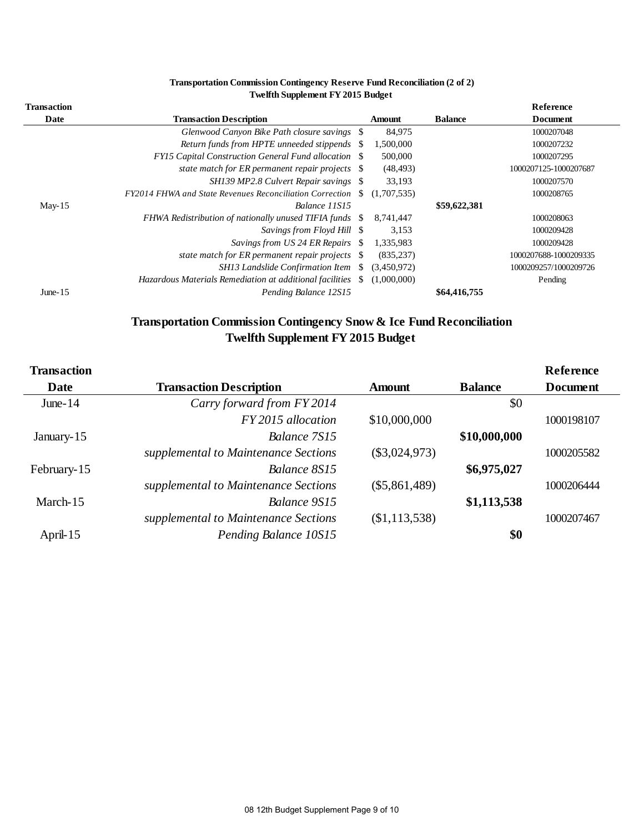|                            | Transportation Commission Contingency Reserve Fund Reconciliation (2 of 2) |     |             |                |                              |
|----------------------------|----------------------------------------------------------------------------|-----|-------------|----------------|------------------------------|
|                            | <b>Twelfth Supplement FY 2015 Budget</b>                                   |     |             |                |                              |
| <b>Transaction</b><br>Date | <b>Transaction Description</b>                                             |     | Amount      | <b>Balance</b> | Reference<br><b>Document</b> |
|                            | Glenwood Canyon Bike Path closure savings \\$                              |     | 84,975      |                | 1000207048                   |
|                            | Return funds from HPTE unneeded stippends \\$                              |     | 1,500,000   |                | 1000207232                   |
|                            | <b>FYI5</b> Capital Construction General Fund allocation \\$               |     | 500,000     |                | 1000207295                   |
|                            | state match for ER permanent repair projects $\$                           |     | (48, 493)   |                | 1000207125-1000207687        |
|                            | SH139 MP2.8 Culvert Repair savings \$                                      |     | 33,193      |                | 1000207570                   |
|                            | FY2014 FHWA and State Revenues Reconciliation Correction                   | -SS | (1,707,535) |                | 1000208765                   |
| May-15                     | Balance 11S15                                                              |     |             | \$59,622,381   |                              |
|                            | FHWA Redistribution of nationally unused TIFIA funds                       | SS. | 8,741,447   |                | 1000208063                   |
|                            | Savings from Floyd Hill \\$                                                |     | 3,153       |                | 1000209428                   |
|                            | Savings from US 24 ER Repairs \$                                           |     | 1,335,983   |                | 1000209428                   |
|                            | state match for ER permanent repair projects \$                            |     | (835, 237)  |                | 1000207688-1000209335        |
|                            | SH13 Landslide Confirmation Item \\$                                       |     | (3,450,972) |                | 1000209257/1000209726        |
|                            | Hazardous Materials Remediation at additional facilities                   | \$. | (1,000,000) |                | Pending                      |
| June- $15$                 | Pending Balance 12S15                                                      |     |             | \$64,416,755   |                              |

#### **Transportation Commission Contingency Reserve Fund Reconciliation (2 of 2) Twelfth Supplement FY 2015 Budget**

# **Twelfth Supplement FY 2015 Budget**

| Transportation Commission Contingency Snow & Ice Fund Reconciliation<br><b>Twelfth Supplement FY 2015 Budget</b> |                                      |                 |                |                              |  |  |
|------------------------------------------------------------------------------------------------------------------|--------------------------------------|-----------------|----------------|------------------------------|--|--|
| <b>Transaction</b><br>Date                                                                                       | <b>Transaction Description</b>       | <b>Amount</b>   | <b>Balance</b> | Reference<br><b>Document</b> |  |  |
| June- $14$                                                                                                       | Carry forward from FY 2014           |                 | \$0            |                              |  |  |
|                                                                                                                  | FY 2015 allocation                   | \$10,000,000    |                | 1000198107                   |  |  |
| January-15                                                                                                       | Balance 7S15                         |                 | \$10,000,000   |                              |  |  |
|                                                                                                                  | supplemental to Maintenance Sections | $(\$3,024,973)$ |                | 1000205582                   |  |  |
| February-15                                                                                                      | Balance 8S15                         |                 | \$6,975,027    |                              |  |  |
|                                                                                                                  | supplemental to Maintenance Sections | $(\$5,861,489)$ |                | 1000206444                   |  |  |
| March-15                                                                                                         | Balance 9S15                         |                 | \$1,113,538    |                              |  |  |
|                                                                                                                  | supplemental to Maintenance Sections | (\$1,113,538)   |                | 1000207467                   |  |  |
| April-15                                                                                                         | Pending Balance 10S15                |                 | \$0            |                              |  |  |